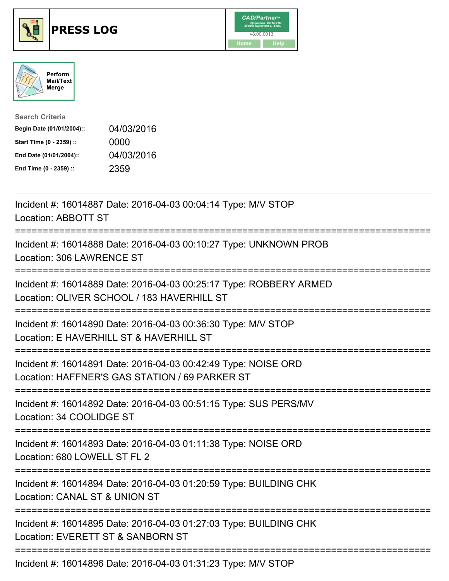





| <b>Search Criteria</b>    |            |
|---------------------------|------------|
| Begin Date (01/01/2004):: | 04/03/2016 |
| Start Time (0 - 2359) ::  | 0000       |
| End Date (01/01/2004)::   | 04/03/2016 |
| End Time (0 - 2359) ::    | 2359       |

| Incident #: 16014887 Date: 2016-04-03 00:04:14 Type: M/V STOP<br>Location: ABBOTT ST                             |
|------------------------------------------------------------------------------------------------------------------|
| Incident #: 16014888 Date: 2016-04-03 00:10:27 Type: UNKNOWN PROB<br>Location: 306 LAWRENCE ST                   |
| Incident #: 16014889 Date: 2016-04-03 00:25:17 Type: ROBBERY ARMED<br>Location: OLIVER SCHOOL / 183 HAVERHILL ST |
| Incident #: 16014890 Date: 2016-04-03 00:36:30 Type: M/V STOP<br>Location: E HAVERHILL ST & HAVERHILL ST         |
| Incident #: 16014891 Date: 2016-04-03 00:42:49 Type: NOISE ORD<br>Location: HAFFNER'S GAS STATION / 69 PARKER ST |
| Incident #: 16014892 Date: 2016-04-03 00:51:15 Type: SUS PERS/MV<br>Location: 34 COOLIDGE ST<br>---------------- |
| Incident #: 16014893 Date: 2016-04-03 01:11:38 Type: NOISE ORD<br>Location: 680 LOWELL ST FL 2                   |
| Incident #: 16014894 Date: 2016-04-03 01:20:59 Type: BUILDING CHK<br>Location: CANAL ST & UNION ST               |
| Incident #: 16014895 Date: 2016-04-03 01:27:03 Type: BUILDING CHK<br>Location: EVERETT ST & SANBORN ST           |
| Incident #: 16014896 Date: 2016-04-03 01:31:23 Type: M/V STOP                                                    |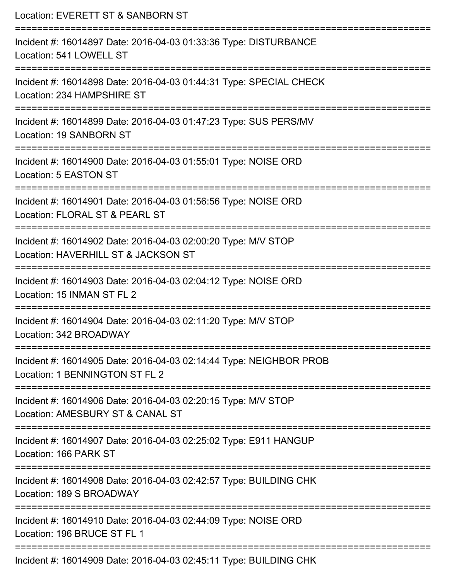| Location: EVERETT ST & SANBORN ST                                                                    |
|------------------------------------------------------------------------------------------------------|
| Incident #: 16014897 Date: 2016-04-03 01:33:36 Type: DISTURBANCE<br>Location: 541 LOWELL ST          |
| Incident #: 16014898 Date: 2016-04-03 01:44:31 Type: SPECIAL CHECK<br>Location: 234 HAMPSHIRE ST     |
| Incident #: 16014899 Date: 2016-04-03 01:47:23 Type: SUS PERS/MV<br>Location: 19 SANBORN ST          |
| Incident #: 16014900 Date: 2016-04-03 01:55:01 Type: NOISE ORD<br>Location: 5 EASTON ST              |
| Incident #: 16014901 Date: 2016-04-03 01:56:56 Type: NOISE ORD<br>Location: FLORAL ST & PEARL ST     |
| Incident #: 16014902 Date: 2016-04-03 02:00:20 Type: M/V STOP<br>Location: HAVERHILL ST & JACKSON ST |
| Incident #: 16014903 Date: 2016-04-03 02:04:12 Type: NOISE ORD<br>Location: 15 INMAN ST FL 2         |
| Incident #: 16014904 Date: 2016-04-03 02:11:20 Type: M/V STOP<br>Location: 342 BROADWAY              |
| Incident #: 16014905 Date: 2016-04-03 02:14:44 Type: NEIGHBOR PROB<br>Location: 1 BENNINGTON ST FL 2 |
| Incident #: 16014906 Date: 2016-04-03 02:20:15 Type: M/V STOP<br>Location: AMESBURY ST & CANAL ST    |
| Incident #: 16014907 Date: 2016-04-03 02:25:02 Type: E911 HANGUP<br>Location: 166 PARK ST            |
| Incident #: 16014908 Date: 2016-04-03 02:42:57 Type: BUILDING CHK<br>Location: 189 S BROADWAY        |
| Incident #: 16014910 Date: 2016-04-03 02:44:09 Type: NOISE ORD<br>Location: 196 BRUCE ST FL 1        |
| Incident #: 16014909 Date: 2016-04-03 02:45:11 Type: BUILDING CHK                                    |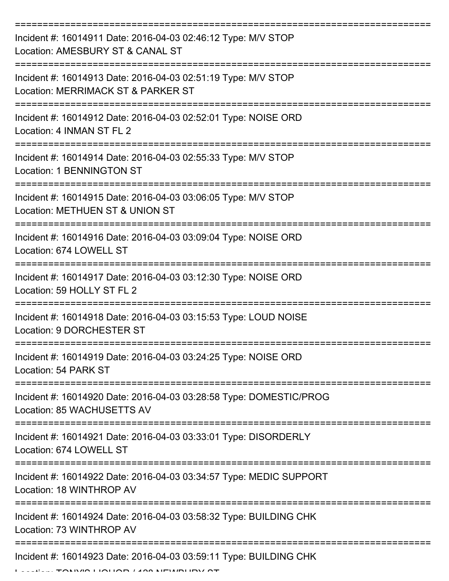| Incident #: 16014911 Date: 2016-04-03 02:46:12 Type: M/V STOP<br>Location: AMESBURY ST & CANAL ST   |
|-----------------------------------------------------------------------------------------------------|
| Incident #: 16014913 Date: 2016-04-03 02:51:19 Type: M/V STOP<br>Location: MERRIMACK ST & PARKER ST |
| Incident #: 16014912 Date: 2016-04-03 02:52:01 Type: NOISE ORD<br>Location: 4 INMAN ST FL 2         |
| Incident #: 16014914 Date: 2016-04-03 02:55:33 Type: M/V STOP<br>Location: 1 BENNINGTON ST          |
| Incident #: 16014915 Date: 2016-04-03 03:06:05 Type: M/V STOP<br>Location: METHUEN ST & UNION ST    |
| Incident #: 16014916 Date: 2016-04-03 03:09:04 Type: NOISE ORD<br>Location: 674 LOWELL ST           |
| Incident #: 16014917 Date: 2016-04-03 03:12:30 Type: NOISE ORD<br>Location: 59 HOLLY ST FL 2        |
| Incident #: 16014918 Date: 2016-04-03 03:15:53 Type: LOUD NOISE<br>Location: 9 DORCHESTER ST        |
| Incident #: 16014919 Date: 2016-04-03 03:24:25 Type: NOISE ORD<br>Location: 54 PARK ST              |
| Incident #: 16014920 Date: 2016-04-03 03:28:58 Type: DOMESTIC/PROG<br>Location: 85 WACHUSETTS AV    |
| Incident #: 16014921 Date: 2016-04-03 03:33:01 Type: DISORDERLY<br>Location: 674 LOWELL ST          |
| Incident #: 16014922 Date: 2016-04-03 03:34:57 Type: MEDIC SUPPORT<br>Location: 18 WINTHROP AV      |
| Incident #: 16014924 Date: 2016-04-03 03:58:32 Type: BUILDING CHK<br>Location: 73 WINTHROP AV       |
| Incident #: 16014923 Date: 2016-04-03 03:59:11 Type: BUILDING CHK                                   |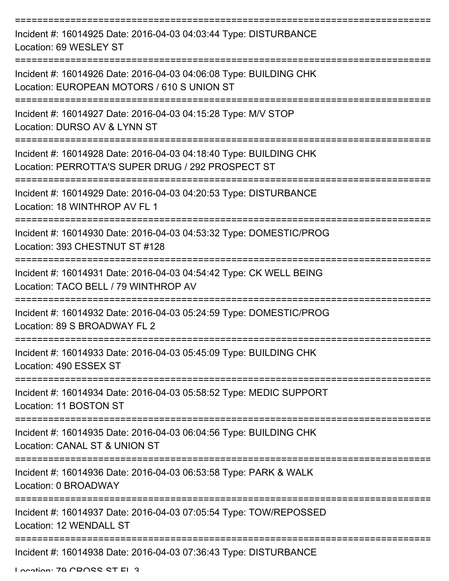| Incident #: 16014925 Date: 2016-04-03 04:03:44 Type: DISTURBANCE<br>Location: 69 WESLEY ST                             |
|------------------------------------------------------------------------------------------------------------------------|
| Incident #: 16014926 Date: 2016-04-03 04:06:08 Type: BUILDING CHK<br>Location: EUROPEAN MOTORS / 610 S UNION ST        |
| Incident #: 16014927 Date: 2016-04-03 04:15:28 Type: M/V STOP<br>Location: DURSO AV & LYNN ST                          |
| Incident #: 16014928 Date: 2016-04-03 04:18:40 Type: BUILDING CHK<br>Location: PERROTTA'S SUPER DRUG / 292 PROSPECT ST |
| Incident #: 16014929 Date: 2016-04-03 04:20:53 Type: DISTURBANCE<br>Location: 18 WINTHROP AV FL 1                      |
| Incident #: 16014930 Date: 2016-04-03 04:53:32 Type: DOMESTIC/PROG<br>Location: 393 CHESTNUT ST #128                   |
| Incident #: 16014931 Date: 2016-04-03 04:54:42 Type: CK WELL BEING<br>Location: TACO BELL / 79 WINTHROP AV             |
| Incident #: 16014932 Date: 2016-04-03 05:24:59 Type: DOMESTIC/PROG<br>Location: 89 S BROADWAY FL 2                     |
| Incident #: 16014933 Date: 2016-04-03 05:45:09 Type: BUILDING CHK<br>Location: 490 ESSEX ST                            |
| Incident #: 16014934 Date: 2016-04-03 05:58:52 Type: MEDIC SUPPORT<br>Location: 11 BOSTON ST                           |
| Incident #: 16014935 Date: 2016-04-03 06:04:56 Type: BUILDING CHK<br>Location: CANAL ST & UNION ST                     |
| Incident #: 16014936 Date: 2016-04-03 06:53:58 Type: PARK & WALK<br>Location: 0 BROADWAY                               |
| Incident #: 16014937 Date: 2016-04-03 07:05:54 Type: TOW/REPOSSED<br>Location: 12 WENDALL ST                           |
| ------------------<br>----------------------------<br>Incident #: 16014938 Date: 2016-04-03 07:36:43 Type: DISTURBANCE |

Location: 70 CDOSS ST EL 3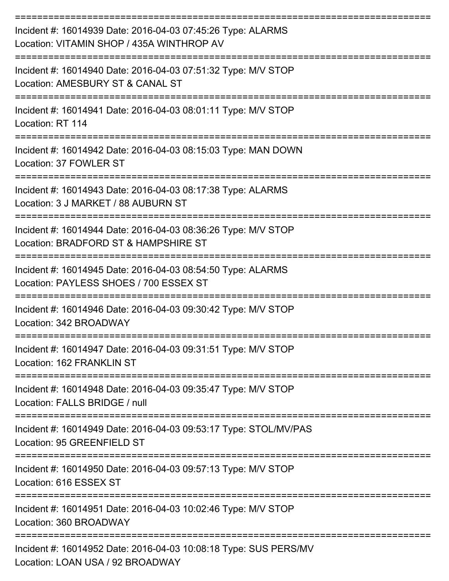| Incident #: 16014939 Date: 2016-04-03 07:45:26 Type: ALARMS<br>Location: VITAMIN SHOP / 435A WINTHROP AV                          |
|-----------------------------------------------------------------------------------------------------------------------------------|
| Incident #: 16014940 Date: 2016-04-03 07:51:32 Type: M/V STOP<br>Location: AMESBURY ST & CANAL ST                                 |
| Incident #: 16014941 Date: 2016-04-03 08:01:11 Type: M/V STOP<br>Location: RT 114                                                 |
| Incident #: 16014942 Date: 2016-04-03 08:15:03 Type: MAN DOWN<br>Location: 37 FOWLER ST                                           |
| Incident #: 16014943 Date: 2016-04-03 08:17:38 Type: ALARMS<br>Location: 3 J MARKET / 88 AUBURN ST                                |
| Incident #: 16014944 Date: 2016-04-03 08:36:26 Type: M/V STOP<br>Location: BRADFORD ST & HAMPSHIRE ST                             |
| Incident #: 16014945 Date: 2016-04-03 08:54:50 Type: ALARMS<br>Location: PAYLESS SHOES / 700 ESSEX ST                             |
| Incident #: 16014946 Date: 2016-04-03 09:30:42 Type: M/V STOP<br>Location: 342 BROADWAY                                           |
| Incident #: 16014947 Date: 2016-04-03 09:31:51 Type: M/V STOP<br>Location: 162 FRANKLIN ST                                        |
| ==============<br>=============<br>Incident #: 16014948 Date: 2016-04-03 09:35:47 Type: M/V STOP<br>Location: FALLS BRIDGE / null |
| Incident #: 16014949 Date: 2016-04-03 09:53:17 Type: STOL/MV/PAS<br>Location: 95 GREENFIELD ST                                    |
| Incident #: 16014950 Date: 2016-04-03 09:57:13 Type: M/V STOP<br>Location: 616 ESSEX ST                                           |
| Incident #: 16014951 Date: 2016-04-03 10:02:46 Type: M/V STOP<br>Location: 360 BROADWAY                                           |
| Incident #: 16014952 Date: 2016-04-03 10:08:18 Type: SUS PERS/MV<br>Location: LOAN USA / 92 BROADWAY                              |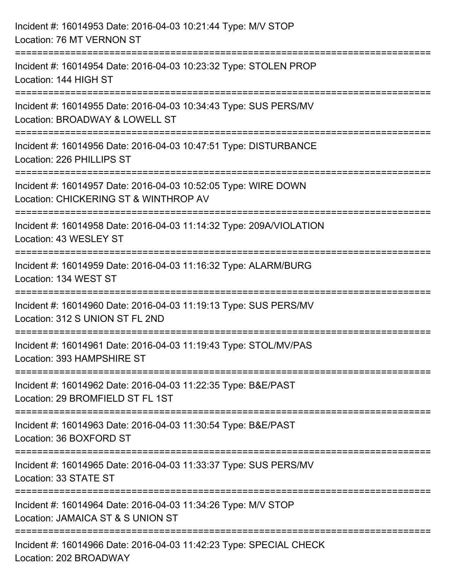| Incident #: 16014953 Date: 2016-04-03 10:21:44 Type: M/V STOP<br>Location: 76 MT VERNON ST                                               |
|------------------------------------------------------------------------------------------------------------------------------------------|
| Incident #: 16014954 Date: 2016-04-03 10:23:32 Type: STOLEN PROP<br>Location: 144 HIGH ST                                                |
| ----------------------------------<br>Incident #: 16014955 Date: 2016-04-03 10:34:43 Type: SUS PERS/MV<br>Location: BROADWAY & LOWELL ST |
| Incident #: 16014956 Date: 2016-04-03 10:47:51 Type: DISTURBANCE<br>Location: 226 PHILLIPS ST<br>:===================                    |
| Incident #: 16014957 Date: 2016-04-03 10:52:05 Type: WIRE DOWN<br>Location: CHICKERING ST & WINTHROP AV                                  |
| Incident #: 16014958 Date: 2016-04-03 11:14:32 Type: 209A/VIOLATION<br>Location: 43 WESLEY ST                                            |
| Incident #: 16014959 Date: 2016-04-03 11:16:32 Type: ALARM/BURG<br>Location: 134 WEST ST                                                 |
| Incident #: 16014960 Date: 2016-04-03 11:19:13 Type: SUS PERS/MV<br>Location: 312 S UNION ST FL 2ND                                      |
| Incident #: 16014961 Date: 2016-04-03 11:19:43 Type: STOL/MV/PAS<br>Location: 393 HAMPSHIRE ST                                           |
| Incident #: 16014962 Date: 2016-04-03 11:22:35 Type: B&E/PAST<br>Location: 29 BROMFIELD ST FL 1ST                                        |
| Incident #: 16014963 Date: 2016-04-03 11:30:54 Type: B&E/PAST<br>Location: 36 BOXFORD ST                                                 |
| Incident #: 16014965 Date: 2016-04-03 11:33:37 Type: SUS PERS/MV<br>Location: 33 STATE ST                                                |
| Incident #: 16014964 Date: 2016-04-03 11:34:26 Type: M/V STOP<br>Location: JAMAICA ST & S UNION ST                                       |
| Incident #: 16014966 Date: 2016-04-03 11:42:23 Type: SPECIAL CHECK<br>Location: 202 BROADWAY                                             |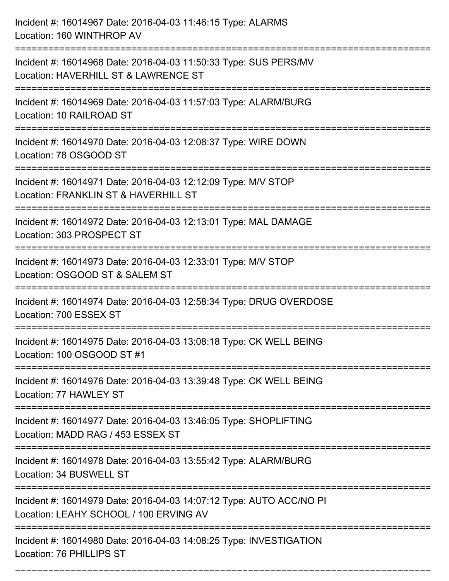| Incident #: 16014967 Date: 2016-04-03 11:46:15 Type: ALARMS<br>Location: 160 WINTHROP AV                              |
|-----------------------------------------------------------------------------------------------------------------------|
| Incident #: 16014968 Date: 2016-04-03 11:50:33 Type: SUS PERS/MV<br>Location: HAVERHILL ST & LAWRENCE ST              |
| Incident #: 16014969 Date: 2016-04-03 11:57:03 Type: ALARM/BURG<br>Location: 10 RAILROAD ST                           |
| Incident #: 16014970 Date: 2016-04-03 12:08:37 Type: WIRE DOWN<br>Location: 78 OSGOOD ST                              |
| Incident #: 16014971 Date: 2016-04-03 12:12:09 Type: M/V STOP<br>Location: FRANKLIN ST & HAVERHILL ST                 |
| Incident #: 16014972 Date: 2016-04-03 12:13:01 Type: MAL DAMAGE<br>Location: 303 PROSPECT ST                          |
| Incident #: 16014973 Date: 2016-04-03 12:33:01 Type: M/V STOP<br>Location: OSGOOD ST & SALEM ST<br>------------------ |
| Incident #: 16014974 Date: 2016-04-03 12:58:34 Type: DRUG OVERDOSE<br>Location: 700 ESSEX ST                          |
| Incident #: 16014975 Date: 2016-04-03 13:08:18 Type: CK WELL BEING<br>Location: 100 OSGOOD ST #1                      |
| Incident #: 16014976 Date: 2016-04-03 13:39:48 Type: CK WELL BEING<br>Location: 77 HAWLEY ST                          |
| Incident #: 16014977 Date: 2016-04-03 13:46:05 Type: SHOPLIFTING<br>Location: MADD RAG / 453 ESSEX ST                 |
| Incident #: 16014978 Date: 2016-04-03 13:55:42 Type: ALARM/BURG<br>Location: 34 BUSWELL ST                            |
| Incident #: 16014979 Date: 2016-04-03 14:07:12 Type: AUTO ACC/NO PI<br>Location: LEAHY SCHOOL / 100 ERVING AV         |
| Incident #: 16014980 Date: 2016-04-03 14:08:25 Type: INVESTIGATION<br>Location: 76 PHILLIPS ST                        |

===========================================================================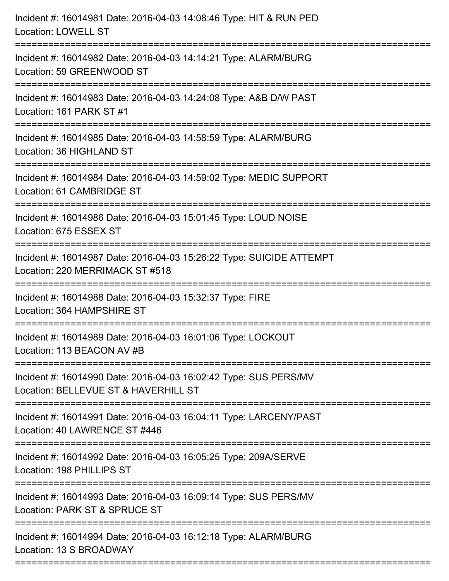| Incident #: 16014981 Date: 2016-04-03 14:08:46 Type: HIT & RUN PED<br><b>Location: LOWELL ST</b>                                    |
|-------------------------------------------------------------------------------------------------------------------------------------|
| Incident #: 16014982 Date: 2016-04-03 14:14:21 Type: ALARM/BURG<br>Location: 59 GREENWOOD ST                                        |
| Incident #: 16014983 Date: 2016-04-03 14:24:08 Type: A&B D/W PAST<br>Location: 161 PARK ST #1<br>================================== |
| Incident #: 16014985 Date: 2016-04-03 14:58:59 Type: ALARM/BURG<br>Location: 36 HIGHLAND ST                                         |
| Incident #: 16014984 Date: 2016-04-03 14:59:02 Type: MEDIC SUPPORT<br>Location: 61 CAMBRIDGE ST                                     |
| Incident #: 16014986 Date: 2016-04-03 15:01:45 Type: LOUD NOISE<br>Location: 675 ESSEX ST                                           |
| Incident #: 16014987 Date: 2016-04-03 15:26:22 Type: SUICIDE ATTEMPT<br>Location: 220 MERRIMACK ST #518                             |
| Incident #: 16014988 Date: 2016-04-03 15:32:37 Type: FIRE<br>Location: 364 HAMPSHIRE ST                                             |
| Incident #: 16014989 Date: 2016-04-03 16:01:06 Type: LOCKOUT<br>Location: 113 BEACON AV #B                                          |
| Incident #: 16014990 Date: 2016-04-03 16:02:42 Type: SUS PERS/MV<br>Location: BELLEVUE ST & HAVERHILL ST                            |
| Incident #: 16014991 Date: 2016-04-03 16:04:11 Type: LARCENY/PAST<br>Location: 40 LAWRENCE ST #446                                  |
| Incident #: 16014992 Date: 2016-04-03 16:05:25 Type: 209A/SERVE<br>Location: 198 PHILLIPS ST                                        |
| Incident #: 16014993 Date: 2016-04-03 16:09:14 Type: SUS PERS/MV<br>Location: PARK ST & SPRUCE ST                                   |
| Incident #: 16014994 Date: 2016-04-03 16:12:18 Type: ALARM/BURG<br>Location: 13 S BROADWAY                                          |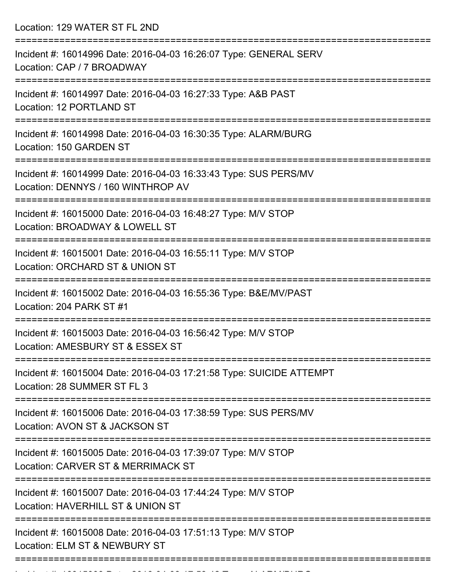Location: 129 WATER ST FL 2ND

| Incident #: 16014996 Date: 2016-04-03 16:26:07 Type: GENERAL SERV<br>Location: CAP / 7 BROADWAY        |
|--------------------------------------------------------------------------------------------------------|
| Incident #: 16014997 Date: 2016-04-03 16:27:33 Type: A&B PAST<br>Location: 12 PORTLAND ST              |
| Incident #: 16014998 Date: 2016-04-03 16:30:35 Type: ALARM/BURG<br>Location: 150 GARDEN ST             |
| Incident #: 16014999 Date: 2016-04-03 16:33:43 Type: SUS PERS/MV<br>Location: DENNYS / 160 WINTHROP AV |
| Incident #: 16015000 Date: 2016-04-03 16:48:27 Type: M/V STOP<br>Location: BROADWAY & LOWELL ST        |
| Incident #: 16015001 Date: 2016-04-03 16:55:11 Type: M/V STOP<br>Location: ORCHARD ST & UNION ST       |
| Incident #: 16015002 Date: 2016-04-03 16:55:36 Type: B&E/MV/PAST<br>Location: 204 PARK ST #1           |
| Incident #: 16015003 Date: 2016-04-03 16:56:42 Type: M/V STOP<br>Location: AMESBURY ST & ESSEX ST      |
| Incident #: 16015004 Date: 2016-04-03 17:21:58 Type: SUICIDE ATTEMPT<br>Location: 28 SUMMER ST FL 3    |
| Incident #: 16015006 Date: 2016-04-03 17:38:59 Type: SUS PERS/MV<br>Location: AVON ST & JACKSON ST     |
| Incident #: 16015005 Date: 2016-04-03 17:39:07 Type: M/V STOP<br>Location: CARVER ST & MERRIMACK ST    |
| Incident #: 16015007 Date: 2016-04-03 17:44:24 Type: M/V STOP<br>Location: HAVERHILL ST & UNION ST     |
| Incident #: 16015008 Date: 2016-04-03 17:51:13 Type: M/V STOP<br>Location: ELM ST & NEWBURY ST         |
|                                                                                                        |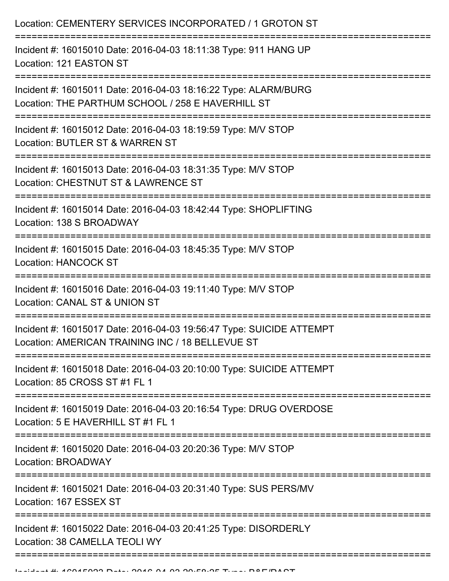| Location: CEMENTERY SERVICES INCORPORATED / 1 GROTON ST                                                                  |
|--------------------------------------------------------------------------------------------------------------------------|
| Incident #: 16015010 Date: 2016-04-03 18:11:38 Type: 911 HANG UP<br>Location: 121 EASTON ST                              |
| Incident #: 16015011 Date: 2016-04-03 18:16:22 Type: ALARM/BURG<br>Location: THE PARTHUM SCHOOL / 258 E HAVERHILL ST     |
| Incident #: 16015012 Date: 2016-04-03 18:19:59 Type: M/V STOP<br>Location: BUTLER ST & WARREN ST                         |
| Incident #: 16015013 Date: 2016-04-03 18:31:35 Type: M/V STOP<br>Location: CHESTNUT ST & LAWRENCE ST                     |
| Incident #: 16015014 Date: 2016-04-03 18:42:44 Type: SHOPLIFTING<br>Location: 138 S BROADWAY                             |
| Incident #: 16015015 Date: 2016-04-03 18:45:35 Type: M/V STOP<br><b>Location: HANCOCK ST</b>                             |
| Incident #: 16015016 Date: 2016-04-03 19:11:40 Type: M/V STOP<br>Location: CANAL ST & UNION ST                           |
| Incident #: 16015017 Date: 2016-04-03 19:56:47 Type: SUICIDE ATTEMPT<br>Location: AMERICAN TRAINING INC / 18 BELLEVUE ST |
| Incident #: 16015018 Date: 2016-04-03 20:10:00 Type: SUICIDE ATTEMPT<br>Location: 85 CROSS ST #1 FL 1                    |
| Incident #: 16015019 Date: 2016-04-03 20:16:54 Type: DRUG OVERDOSE<br>Location: 5 E HAVERHILL ST #1 FL 1                 |
| Incident #: 16015020 Date: 2016-04-03 20:20:36 Type: M/V STOP<br>Location: BROADWAY                                      |
| Incident #: 16015021 Date: 2016-04-03 20:31:40 Type: SUS PERS/MV<br>Location: 167 ESSEX ST                               |
| Incident #: 16015022 Date: 2016-04-03 20:41:25 Type: DISORDERLY<br>Location: 38 CAMELLA TEOLI WY                         |
|                                                                                                                          |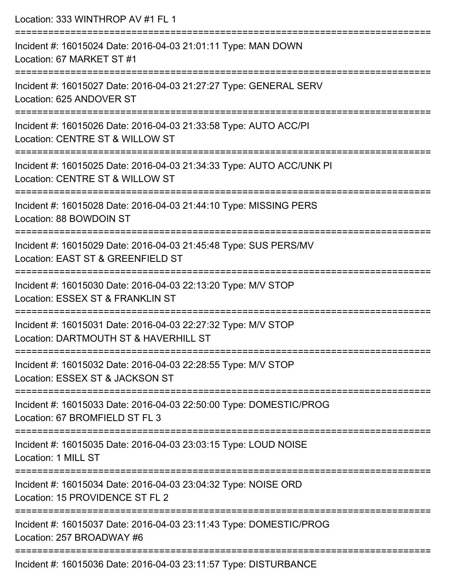| Location: 333 WINTHROP AV #1 FL 1                                                                                                                       |
|---------------------------------------------------------------------------------------------------------------------------------------------------------|
| Incident #: 16015024 Date: 2016-04-03 21:01:11 Type: MAN DOWN<br>Location: 67 MARKET ST #1                                                              |
| Incident #: 16015027 Date: 2016-04-03 21:27:27 Type: GENERAL SERV<br>Location: 625 ANDOVER ST                                                           |
| Incident #: 16015026 Date: 2016-04-03 21:33:58 Type: AUTO ACC/PI<br>Location: CENTRE ST & WILLOW ST<br>================================                 |
| Incident #: 16015025 Date: 2016-04-03 21:34:33 Type: AUTO ACC/UNK PI<br>Location: CENTRE ST & WILLOW ST                                                 |
| Incident #: 16015028 Date: 2016-04-03 21:44:10 Type: MISSING PERS<br>Location: 88 BOWDOIN ST<br>================================<br>------------------- |
| Incident #: 16015029 Date: 2016-04-03 21:45:48 Type: SUS PERS/MV<br>Location: EAST ST & GREENFIELD ST<br>========================                       |
| Incident #: 16015030 Date: 2016-04-03 22:13:20 Type: M/V STOP<br>Location: ESSEX ST & FRANKLIN ST                                                       |
| ====================<br>Incident #: 16015031 Date: 2016-04-03 22:27:32 Type: M/V STOP<br>Location: DARTMOUTH ST & HAVERHILL ST                          |
| Incident #: 16015032 Date: 2016-04-03 22:28:55 Type: M/V STOP<br>Location: ESSEX ST & JACKSON ST                                                        |
| Incident #: 16015033 Date: 2016-04-03 22:50:00 Type: DOMESTIC/PROG<br>Location: 67 BROMFIELD ST FL 3                                                    |
| Incident #: 16015035 Date: 2016-04-03 23:03:15 Type: LOUD NOISE<br>Location: 1 MILL ST                                                                  |
| Incident #: 16015034 Date: 2016-04-03 23:04:32 Type: NOISE ORD<br>Location: 15 PROVIDENCE ST FL 2                                                       |
| Incident #: 16015037 Date: 2016-04-03 23:11:43 Type: DOMESTIC/PROG<br>Location: 257 BROADWAY #6                                                         |
|                                                                                                                                                         |

Incident #: 16015036 Date: 2016-04-03 23:11:57 Type: DISTURBANCE